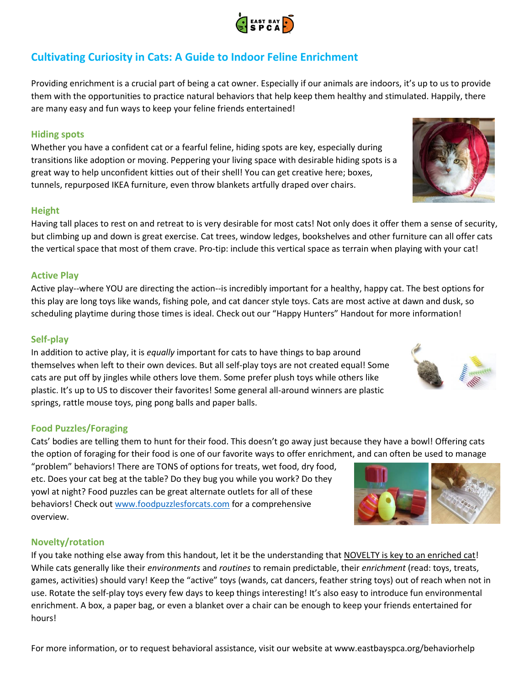# **Cultivating Curiosity in Cats: A Guide to Indoor Feline Enrichment**

Providing enrichment is a crucial part of being a cat owner. Especially if our animals are indoors, it's up to us to provide them with the opportunities to practice natural behaviors that help keep them healthy and stimulated. Happily, there are many easy and fun ways to keep your feline friends entertained!

# **Hiding spots**

Whether you have a confident cat or a fearful feline, hiding spots are key, especially during transitions like adoption or moving. Peppering your living space with desirable hiding spots is a great way to help unconfident kitties out of their shell! You can get creative here; boxes, tunnels, repurposed IKEA furniture, even throw blankets artfully draped over chairs.

#### **Height**

Having tall places to rest on and retreat to is very desirable for most cats! Not only does it offer them a sense of security, but climbing up and down is great exercise. Cat trees, window ledges, bookshelves and other furniture can all offer cats the vertical space that most of them crave. Pro-tip: include this vertical space as terrain when playing with your cat!

#### **Active Play**

Active play--where YOU are directing the action--is incredibly important for a healthy, happy cat. The best options for this play are long toys like wands, fishing pole, and cat dancer style toys. Cats are most active at dawn and dusk, so scheduling playtime during those times is ideal. Check out our "Happy Hunters" Handout for more information!

# **Self-play**

In addition to active play, it is *equally* important for cats to have things to bap around themselves when left to their own devices. But all self-play toys are not created equal! Some cats are put off by jingles while others love them. Some prefer plush toys while others like plastic. It's up to US to discover their favorites! Some general all-around winners are plastic springs, rattle mouse toys, ping pong balls and paper balls.

#### **Food Puzzles/Foraging**

Cats' bodies are telling them to hunt for their food. This doesn't go away just because they have a bowl! Offering cats the option of foraging for their food is one of our favorite ways to offer enrichment, and can often be used to manage

"problem" behaviors! There are TONS of options for treats, wet food, dry food, etc. Does your cat beg at the table? Do they bug you while you work? Do they yowl at night? Food puzzles can be great alternate outlets for all of these behaviors! Check out [www.foodpuzzlesforcats.com](http://www.foodpuzzlesforcats.com/) for a comprehensive overview.

# **Novelty/rotation**

If you take nothing else away from this handout, let it be the understanding that NOVELTY is key to an enriched cat! While cats generally like their *environments* and *routines* to remain predictable, their *enrichment* (read: toys, treats, games, activities) should vary! Keep the "active" toys (wands, cat dancers, feather string toys) out of reach when not in use. Rotate the self-play toys every few days to keep things interesting! It's also easy to introduce fun environmental enrichment. A box, a paper bag, or even a blanket over a chair can be enough to keep your friends entertained for hours!











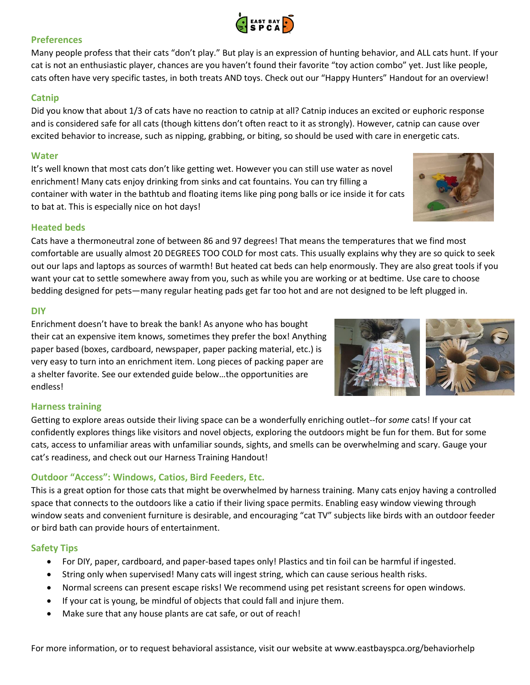

# **Preferences**

Many people profess that their cats "don't play." But play is an expression of hunting behavior, and ALL cats hunt. If your cat is not an enthusiastic player, chances are you haven't found their favorite "toy action combo" yet. Just like people, cats often have very specific tastes, in both treats AND toys. Check out our "Happy Hunters" Handout for an overview!

# **Catnip**

Did you know that about 1/3 of cats have no reaction to catnip at all? Catnip induces an excited or euphoric response and is considered safe for all cats (though kittens don't often react to it as strongly). However, catnip can cause over excited behavior to increase, such as nipping, grabbing, or biting, so should be used with care in energetic cats.

#### **Water**

It's well known that most cats don't like getting wet. However you can still use water as novel enrichment! Many cats enjoy drinking from sinks and cat fountains. You can try filling a container with water in the bathtub and floating items like ping pong balls or ice inside it for cats to bat at. This is especially nice on hot days!

#### **Heated beds**

Cats have a thermoneutral zone of between 86 and 97 degrees! That means the temperatures that we find most comfortable are usually almost 20 DEGREES TOO COLD for most cats. This usually explains why they are so quick to seek out our laps and laptops as sources of warmth! But heated cat beds can help enormously. They are also great tools if you want your cat to settle somewhere away from you, such as while you are working or at bedtime. Use care to choose bedding designed for pets—many regular heating pads get far too hot and are not designed to be left plugged in.

#### **DIY**

Enrichment doesn't have to break the bank! As anyone who has bought their cat an expensive item knows, sometimes they prefer the box! Anything paper based (boxes, cardboard, newspaper, paper packing material, etc.) is very easy to turn into an enrichment item. Long pieces of packing paper are a shelter favorite. See our extended guide below…the opportunities are endless!



# **Harness training**

Getting to explore areas outside their living space can be a wonderfully enriching outlet--for *some* cats! If your cat confidently explores things like visitors and novel objects, exploring the outdoors might be fun for them. But for some cats, access to unfamiliar areas with unfamiliar sounds, sights, and smells can be overwhelming and scary. Gauge your cat's readiness, and check out our Harness Training Handout!

# **Outdoor "Access": Windows, Catios, Bird Feeders, Etc.**

This is a great option for those cats that might be overwhelmed by harness training. Many cats enjoy having a controlled space that connects to the outdoors like a catio if their living space permits. Enabling easy window viewing through window seats and convenient furniture is desirable, and encouraging "cat TV" subjects like birds with an outdoor feeder or bird bath can provide hours of entertainment.

#### **Safety Tips**

- For DIY, paper, cardboard, and paper-based tapes only! Plastics and tin foil can be harmful if ingested.
- String only when supervised! Many cats will ingest string, which can cause serious health risks.
- Normal screens can present escape risks! We recommend using pet resistant screens for open windows.
- If your cat is young, be mindful of objects that could fall and injure them.
- Make sure that any house plants are cat safe, or out of reach!

For more information, or to request behavioral assistance, visit our website at www.eastbayspca.org/behaviorhelp